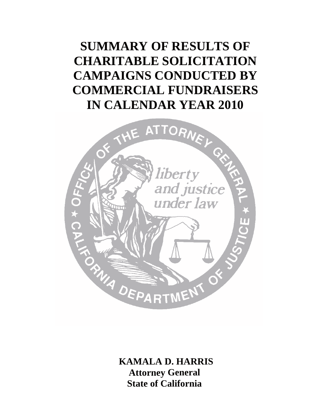# **SUMMARY OF RESULTS OF CHARITABLE SOLICITATION CAMPAIGNS CONDUCTED BY COMMERCIAL FUNDRAISERS IN CALENDAR YEAR 2010**



**KAMALA D. HARRIS Attorney General State of California**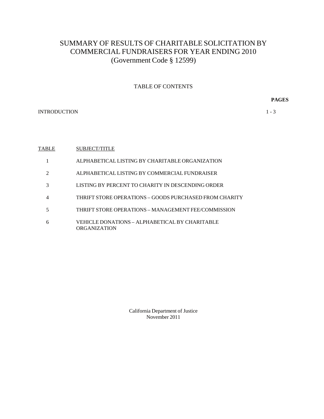# SUMMARY OF RESULTS OF CHARITABLE SOLICITATION BY COMMERCIAL FUNDRAISERS FOR YEAR ENDING 2010 (Government Code § 12599)

#### TABLE OF CONTENTS

**PAGES** 

INTRODUCTION 1 - 3

#### **TABLE** SUBJECT/TITLE

- 1 ALPHABETICAL LISTING BY CHARITABLE ORGANIZATION
- 2 ALPHABETICAL LISTING BY COMMERCIAL FUNDRAISER
- 3 LISTING BY PERCENT TO CHARITY IN DESCENDING ORDER
- 4 THRIFT STORE OPERATIONS GOODS PURCHASED FROM CHARITY
- 5 THRIFT STORE OPERATIONS MANAGEMENT FEE/COMMISSION
- 6 VEHICLE DONATIONS ALPHABETICAL BY CHARITABLE ORGANIZATION

California Department of Justice November 2011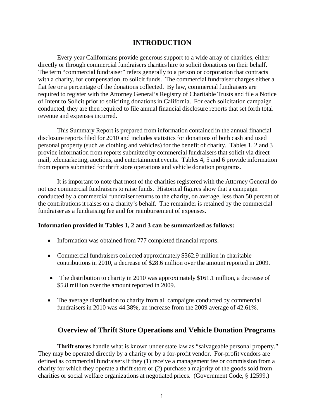# **INTRODUCTION**

Every year Californians provide generous support to a wide array of charities, either directly or through commercial fundraisers charities hire to solicit donations on their behalf. The term "commercial fundraiser" refers generally to a person or corporation that contracts with a charity, for compensation, to solicit funds. The commercial fundraiser charges either a flat fee or a percentage of the donations collected. By law, commercial fundraisers are required to register with the Attorney General's Registry of Charitable Trusts and file a Notice of Intent to Solicit prior to soliciting donations in California. For each solicitation campaign conducted, they are then required to file annual financial disclosure reports that set forth total revenue and expenses incurred.

This Summary Report is prepared from information contained in the annual financial disclosure reports filed for 2010 and includes statistics for donations of both cash and used personal property (such as clothing and vehicles) for the benefit of charity. Tables 1, 2 and 3 provide information from reports submitted by commercial fundraisers that solicit via direct mail, telemarketing, auctions, and entertainment events. Tables 4, 5 and 6 provide information from reports submitted for thrift store operations and vehicle donation programs.

It is important to note that most of the charities registered with the Attorney General do not use commercial fundraisers to raise funds. Historical figures show that a campaign conducted by a commercial fundraiser returns to the charity, on average, less than 50 percent of the contributions it raises on a charity's behalf. The remainder is retained by the commercial fundraiser as a fundraising fee and for reimbursement of expenses.

#### **Information provided in Tables 1, 2 and 3 can be summarized as follows:**

- Information was obtained from 777 completed financial reports.
- Commercial fundraisers collected approximately \$362.9 million in charitable contributions in 2010, a decrease of \$28.6 million over the amount reported in 2009.
- $\bullet$  The distribution to charity in 2010 was approximately \$161.1 million, a decrease of \$5.8 million over the amount reported in 2009.
- The average distribution to charity from all campaigns conducted by commercial fundraisers in 2010 was 44.38%, an increase from the 2009 average of 42.61%.

## **Overview of Thrift Store Operations and Vehicle Donation Programs**

**Thrift stores** handle what is known under state law as "salvageable personal property." They may be operated directly by a charity or by a for-profit vendor. For-profit vendors are defined as commercial fundraisers if they (1) receive a management fee or commission from a charity for which they operate a thrift store or (2) purchase a majority of the goods sold from charities or social welfare organizations at negotiated prices. (Government Code, § 12599.)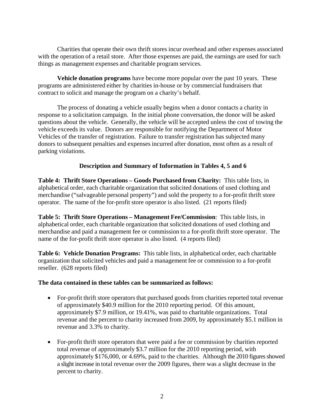Charities that operate their own thrift stores incur overhead and other expenses associated with the operation of a retail store. After those expenses are paid, the earnings are used for such things as management expenses and charitable program services.

**Vehicle donation programs** have become more popular over the past 10 years. These programs are administered either by charities in-house or by commercial fundraisers that contract to solicit and manage the program on a charity's behalf.

The process of donating a vehicle usually begins when a donor contacts a charity in response to a solicitation campaign. In the initial phone conversation, the donor will be asked questions about the vehicle. Generally, the vehicle will be accepted unless the cost of towing the vehicle exceeds its value. Donors are responsible for notifying the Department of Motor Vehicles of the transfer of registration. Failure to transfer registration has subjected many donors to subsequent penalties and expenses incurred after donation, most often as a result of parking violations.

### **Description and Summary of Information in Tables 4, 5 and 6**

**Table 4: Thrift Store Operations – Goods Purchased from Charity:** This table lists, in alphabetical order, each charitable organization that solicited donations of used clothing and merchandise ("salvageable personal property") and sold the property to a for-profit thrift store operator. The name of the for-profit store operator is also listed. (21 reports filed)

 merchandise and paid a management fee or commission to a for-profit thrift store operator. The **Table 5: Thrift Store Operations – Management Fee/Commission**: This table lists, in alphabetical order, each charitable organization that solicited donations of used clothing and name of the for-profit thrift store operator is also listed. (4 reports filed)

**Table 6: Vehicle Donation Programs:** This table lists, in alphabetical order, each charitable organization that solicited vehicles and paid a management fee or commission to a for-profit reseller. (628 reports filed)

#### **The data contained in these tables can be summarized as follows:**

- For-profit thrift store operators that purchased goods from charities reported total revenue of approximately \$40.9 million for the 2010 reporting period. Of this amount, approximately \$7.9 million, or 19.41%, was paid to charitable organizations. Total revenue and the percent to charity increased from 2009, by approximately \$5.1 million in revenue and 3.3% to charity.
- For-profit thrift store operators that were paid a fee or commission by charities reported total revenue of approximately \$3.7 million for the 2010 reporting period, with approximately \$176,000, or 4.69%, paid to the charities. Although the 2010 figures showed a slight increase in total revenue over the 2009 figures, there was a slight decrease in the percent to charity.